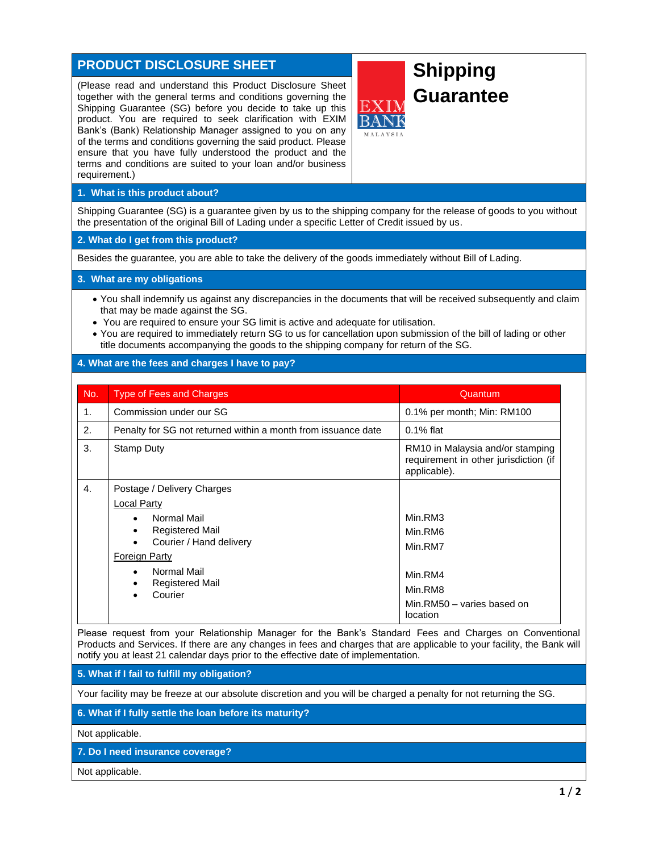## **PRODUCT DISCLOSURE SHEET**

(Please read and understand this Product Disclosure Sheet together with the general terms and conditions governing the Shipping Guarantee (SG) before you decide to take up this product. You are required to seek clarification with EXIM Bank's (Bank) Relationship Manager assigned to you on any of the terms and conditions governing the said product. Please ensure that you have fully understood the product and the terms and conditions are suited to your loan and/or business requirement.)

# **Shipping Guarantee**

### **1. What is this product about?**

Shipping Guarantee (SG) is a guarantee given by us to the shipping company for the release of goods to you without the presentation of the original Bill of Lading under a specific Letter of Credit issued by us.

#### **2. What do I get from this product?**

Besides the guarantee, you are able to take the delivery of the goods immediately without Bill of Lading.

#### **3. What are my obligations**

- You shall indemnify us against any discrepancies in the documents that will be received subsequently and claim that may be made against the SG.
- You are required to ensure your SG limit is active and adequate for utilisation.
- You are required to immediately return SG to us for cancellation upon submission of the bill of lading or other title documents accompanying the goods to the shipping company for return of the SG.

#### **4. What are the fees and charges I have to pay?**

| No. | <b>Type of Fees and Charges</b>                                                                                                                                                                                                                    | Quantum                                                                                       |
|-----|----------------------------------------------------------------------------------------------------------------------------------------------------------------------------------------------------------------------------------------------------|-----------------------------------------------------------------------------------------------|
| 1.  | Commission under our SG                                                                                                                                                                                                                            | 0.1% per month; Min: RM100                                                                    |
| 2.  | Penalty for SG not returned within a month from issuance date                                                                                                                                                                                      | $0.1\%$ flat                                                                                  |
| 3.  | <b>Stamp Duty</b>                                                                                                                                                                                                                                  | RM10 in Malaysia and/or stamping<br>requirement in other jurisdiction (if<br>applicable).     |
| 4.  | Postage / Delivery Charges<br>Local Party<br>Normal Mail<br>$\bullet$<br><b>Registered Mail</b><br>٠<br>Courier / Hand delivery<br>$\bullet$<br><b>Foreign Party</b><br>Normal Mail<br>$\bullet$<br><b>Registered Mail</b><br>Courier<br>$\bullet$ | Min.RM3<br>Min.RM6<br>Min.RM7<br>Min.RM4<br>Min.RM8<br>Min.RM50 - varies based on<br>location |

Please request from your Relationship Manager for the Bank's Standard Fees and Charges on Conventional Products and Services. If there are any changes in fees and charges that are applicable to your facility, the Bank will notify you at least 21 calendar days prior to the effective date of implementation.

**5. What if I fail to fulfill my obligation?**

Your facility may be freeze at our absolute discretion and you will be charged a penalty for not returning the SG.

#### **6. What if I fully settle the loan before its maturity?**

Not applicable.

**7. Do I need insurance coverage?**

Not applicable.